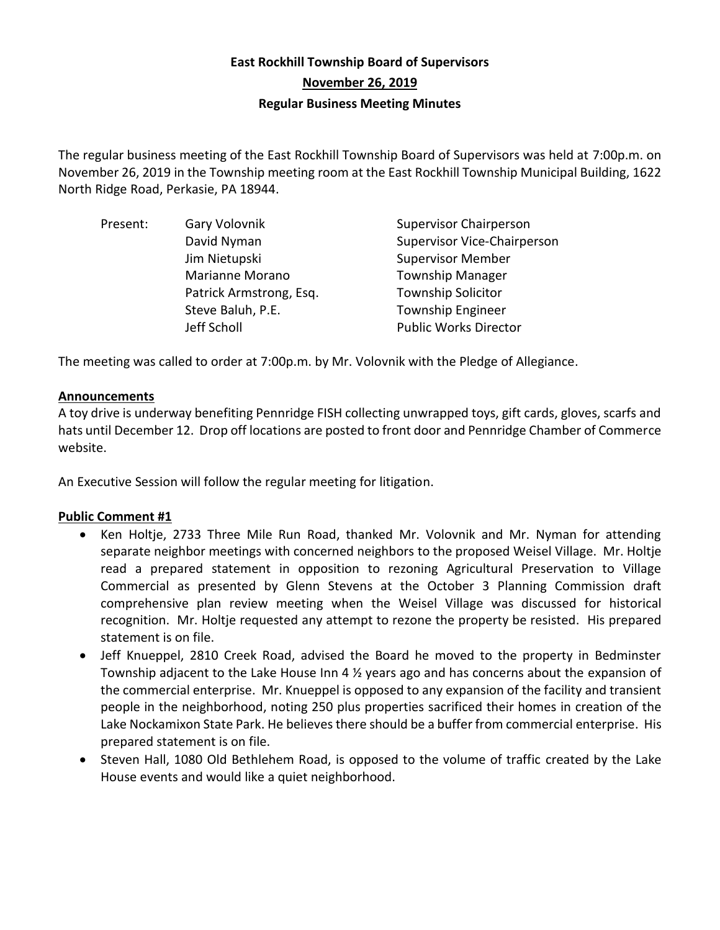# **East Rockhill Township Board of Supervisors November 26, 2019 Regular Business Meeting Minutes**

The regular business meeting of the East Rockhill Township Board of Supervisors was held at 7:00p.m. on November 26, 2019 in the Township meeting room at the East Rockhill Township Municipal Building, 1622 North Ridge Road, Perkasie, PA 18944.

| Present: | Gary Volovnik           | <b>Supervisor Chairperson</b>      |
|----------|-------------------------|------------------------------------|
|          | David Nyman             | <b>Supervisor Vice-Chairperson</b> |
|          | Jim Nietupski           | <b>Supervisor Member</b>           |
|          | Marianne Morano         | <b>Township Manager</b>            |
|          | Patrick Armstrong, Esq. | <b>Township Solicitor</b>          |
|          | Steve Baluh, P.E.       | <b>Township Engineer</b>           |
|          | Jeff Scholl             | <b>Public Works Director</b>       |

The meeting was called to order at 7:00p.m. by Mr. Volovnik with the Pledge of Allegiance.

## **Announcements**

A toy drive is underway benefiting Pennridge FISH collecting unwrapped toys, gift cards, gloves, scarfs and hats until December 12. Drop off locations are posted to front door and Pennridge Chamber of Commerce website.

An Executive Session will follow the regular meeting for litigation.

## **Public Comment #1**

- Ken Holtje, 2733 Three Mile Run Road, thanked Mr. Volovnik and Mr. Nyman for attending separate neighbor meetings with concerned neighbors to the proposed Weisel Village. Mr. Holtje read a prepared statement in opposition to rezoning Agricultural Preservation to Village Commercial as presented by Glenn Stevens at the October 3 Planning Commission draft comprehensive plan review meeting when the Weisel Village was discussed for historical recognition. Mr. Holtje requested any attempt to rezone the property be resisted. His prepared statement is on file.
- Jeff Knueppel, 2810 Creek Road, advised the Board he moved to the property in Bedminster Township adjacent to the Lake House Inn 4 ½ years ago and has concerns about the expansion of the commercial enterprise. Mr. Knueppel is opposed to any expansion of the facility and transient people in the neighborhood, noting 250 plus properties sacrificed their homes in creation of the Lake Nockamixon State Park. He believes there should be a buffer from commercial enterprise. His prepared statement is on file.
- Steven Hall, 1080 Old Bethlehem Road, is opposed to the volume of traffic created by the Lake House events and would like a quiet neighborhood.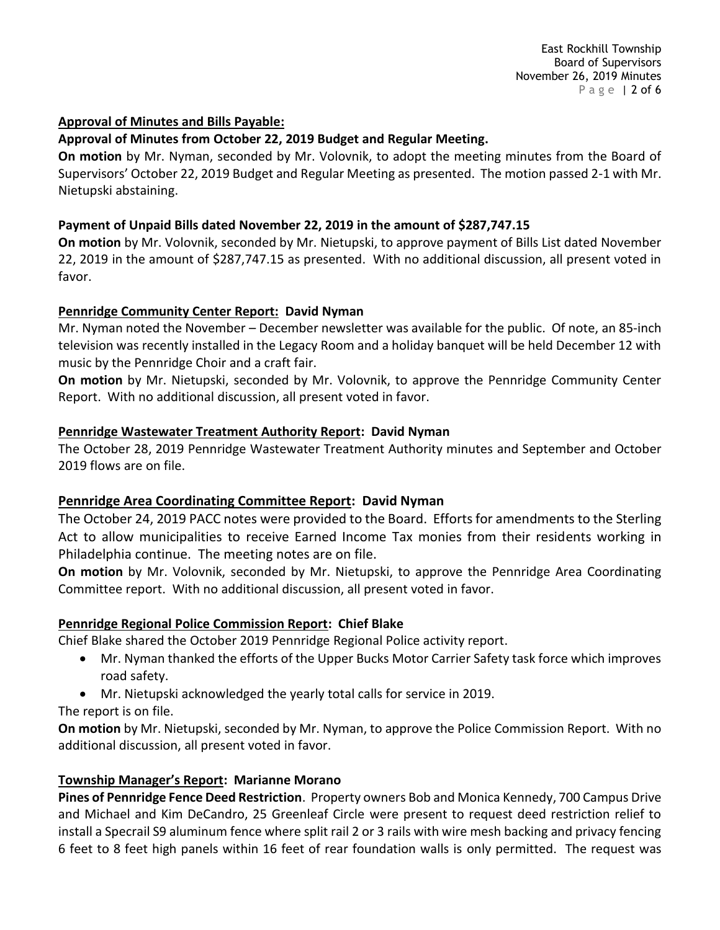#### **Approval of Minutes and Bills Payable:**

## **Approval of Minutes from October 22, 2019 Budget and Regular Meeting.**

**On motion** by Mr. Nyman, seconded by Mr. Volovnik, to adopt the meeting minutes from the Board of Supervisors' October 22, 2019 Budget and Regular Meeting as presented. The motion passed 2-1 with Mr. Nietupski abstaining.

## **Payment of Unpaid Bills dated November 22, 2019 in the amount of \$287,747.15**

**On motion** by Mr. Volovnik, seconded by Mr. Nietupski, to approve payment of Bills List dated November 22, 2019 in the amount of \$287,747.15 as presented. With no additional discussion, all present voted in favor.

## **Pennridge Community Center Report: David Nyman**

Mr. Nyman noted the November – December newsletter was available for the public. Of note, an 85-inch television was recently installed in the Legacy Room and a holiday banquet will be held December 12 with music by the Pennridge Choir and a craft fair.

**On motion** by Mr. Nietupski, seconded by Mr. Volovnik, to approve the Pennridge Community Center Report. With no additional discussion, all present voted in favor.

## **Pennridge Wastewater Treatment Authority Report: David Nyman**

The October 28, 2019 Pennridge Wastewater Treatment Authority minutes and September and October 2019 flows are on file.

# **Pennridge Area Coordinating Committee Report: David Nyman**

The October 24, 2019 PACC notes were provided to the Board. Efforts for amendments to the Sterling Act to allow municipalities to receive Earned Income Tax monies from their residents working in Philadelphia continue. The meeting notes are on file.

**On motion** by Mr. Volovnik, seconded by Mr. Nietupski, to approve the Pennridge Area Coordinating Committee report. With no additional discussion, all present voted in favor.

# **Pennridge Regional Police Commission Report: Chief Blake**

Chief Blake shared the October 2019 Pennridge Regional Police activity report.

- Mr. Nyman thanked the efforts of the Upper Bucks Motor Carrier Safety task force which improves road safety.
- Mr. Nietupski acknowledged the yearly total calls for service in 2019.

The report is on file.

**On motion** by Mr. Nietupski, seconded by Mr. Nyman, to approve the Police Commission Report. With no additional discussion, all present voted in favor.

# **Township Manager's Report: Marianne Morano**

**Pines of Pennridge Fence Deed Restriction**. Property owners Bob and Monica Kennedy, 700 Campus Drive and Michael and Kim DeCandro, 25 Greenleaf Circle were present to request deed restriction relief to install a Specrail S9 aluminum fence where split rail 2 or 3 rails with wire mesh backing and privacy fencing 6 feet to 8 feet high panels within 16 feet of rear foundation walls is only permitted. The request was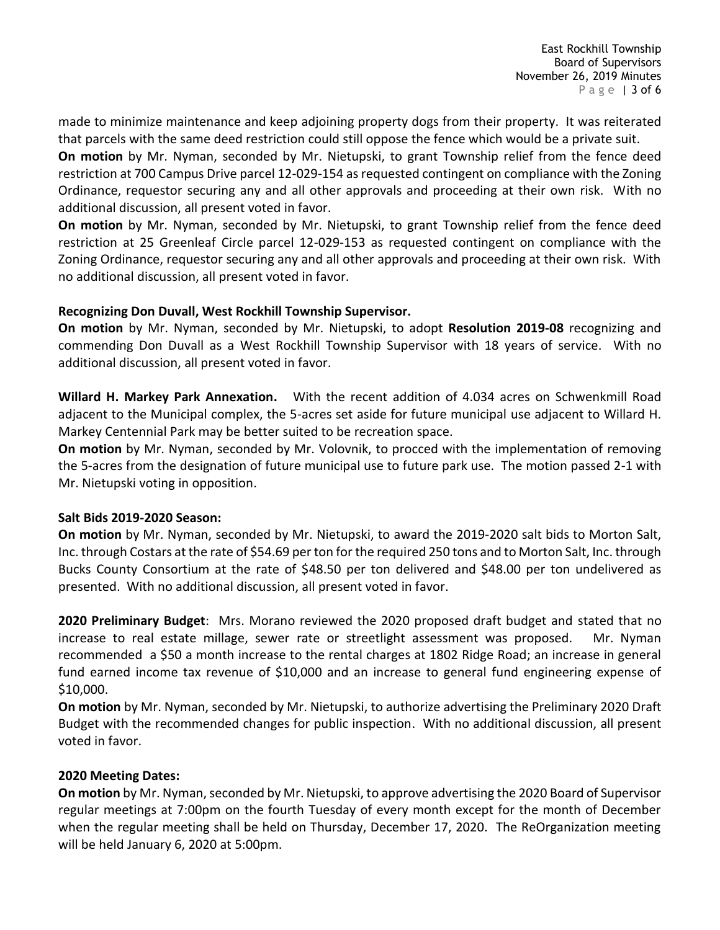made to minimize maintenance and keep adjoining property dogs from their property. It was reiterated that parcels with the same deed restriction could still oppose the fence which would be a private suit.

**On motion** by Mr. Nyman, seconded by Mr. Nietupski, to grant Township relief from the fence deed restriction at 700 Campus Drive parcel 12-029-154 as requested contingent on compliance with the Zoning Ordinance, requestor securing any and all other approvals and proceeding at their own risk. With no additional discussion, all present voted in favor.

**On motion** by Mr. Nyman, seconded by Mr. Nietupski, to grant Township relief from the fence deed restriction at 25 Greenleaf Circle parcel 12-029-153 as requested contingent on compliance with the Zoning Ordinance, requestor securing any and all other approvals and proceeding at their own risk. With no additional discussion, all present voted in favor.

#### **Recognizing Don Duvall, West Rockhill Township Supervisor.**

**On motion** by Mr. Nyman, seconded by Mr. Nietupski, to adopt **Resolution 2019-08** recognizing and commending Don Duvall as a West Rockhill Township Supervisor with 18 years of service. With no additional discussion, all present voted in favor.

**Willard H. Markey Park Annexation.** With the recent addition of 4.034 acres on Schwenkmill Road adjacent to the Municipal complex, the 5-acres set aside for future municipal use adjacent to Willard H. Markey Centennial Park may be better suited to be recreation space.

**On motion** by Mr. Nyman, seconded by Mr. Volovnik, to procced with the implementation of removing the 5-acres from the designation of future municipal use to future park use. The motion passed 2-1 with Mr. Nietupski voting in opposition.

#### **Salt Bids 2019-2020 Season:**

**On motion** by Mr. Nyman, seconded by Mr. Nietupski, to award the 2019-2020 salt bids to Morton Salt, Inc. through Costars at the rate of \$54.69 per ton for the required 250 tons and to Morton Salt, Inc. through Bucks County Consortium at the rate of \$48.50 per ton delivered and \$48.00 per ton undelivered as presented. With no additional discussion, all present voted in favor.

**2020 Preliminary Budget**: Mrs. Morano reviewed the 2020 proposed draft budget and stated that no increase to real estate millage, sewer rate or streetlight assessment was proposed. Mr. Nyman recommended a \$50 a month increase to the rental charges at 1802 Ridge Road; an increase in general fund earned income tax revenue of \$10,000 and an increase to general fund engineering expense of \$10,000.

**On motion** by Mr. Nyman, seconded by Mr. Nietupski, to authorize advertising the Preliminary 2020 Draft Budget with the recommended changes for public inspection. With no additional discussion, all present voted in favor.

#### **2020 Meeting Dates:**

**On motion** by Mr. Nyman, seconded by Mr. Nietupski, to approve advertising the 2020 Board of Supervisor regular meetings at 7:00pm on the fourth Tuesday of every month except for the month of December when the regular meeting shall be held on Thursday, December 17, 2020. The ReOrganization meeting will be held January 6, 2020 at 5:00pm.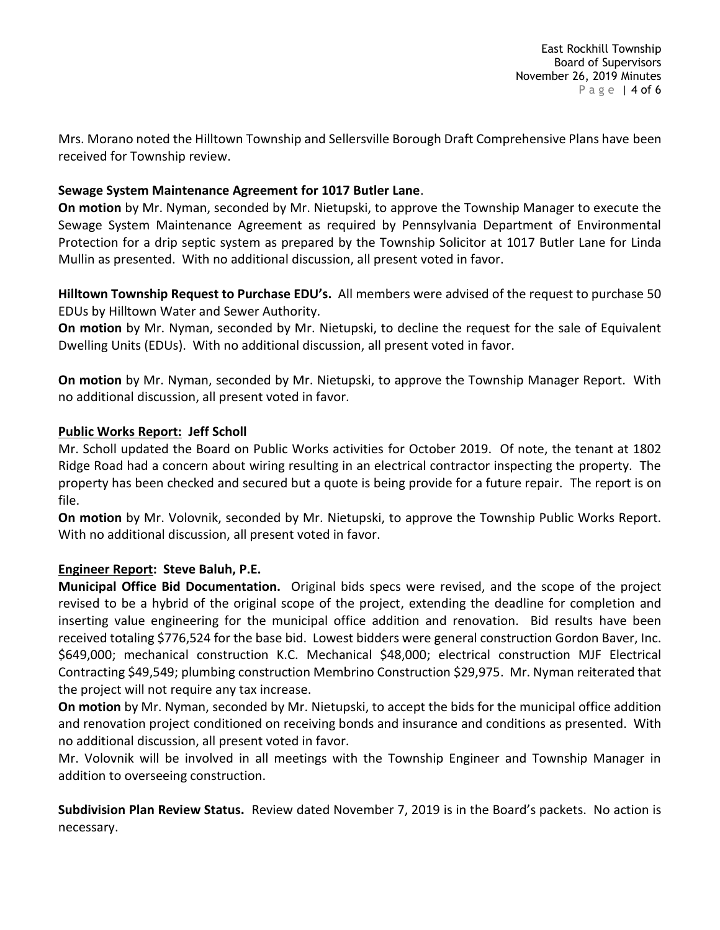Mrs. Morano noted the Hilltown Township and Sellersville Borough Draft Comprehensive Plans have been received for Township review.

### **Sewage System Maintenance Agreement for 1017 Butler Lane**.

**On motion** by Mr. Nyman, seconded by Mr. Nietupski, to approve the Township Manager to execute the Sewage System Maintenance Agreement as required by Pennsylvania Department of Environmental Protection for a drip septic system as prepared by the Township Solicitor at 1017 Butler Lane for Linda Mullin as presented. With no additional discussion, all present voted in favor.

**Hilltown Township Request to Purchase EDU's.** All members were advised of the request to purchase 50 EDUs by Hilltown Water and Sewer Authority.

**On motion** by Mr. Nyman, seconded by Mr. Nietupski, to decline the request for the sale of Equivalent Dwelling Units (EDUs). With no additional discussion, all present voted in favor.

**On motion** by Mr. Nyman, seconded by Mr. Nietupski, to approve the Township Manager Report. With no additional discussion, all present voted in favor.

#### **Public Works Report: Jeff Scholl**

Mr. Scholl updated the Board on Public Works activities for October 2019. Of note, the tenant at 1802 Ridge Road had a concern about wiring resulting in an electrical contractor inspecting the property. The property has been checked and secured but a quote is being provide for a future repair. The report is on file.

**On motion** by Mr. Volovnik, seconded by Mr. Nietupski, to approve the Township Public Works Report. With no additional discussion, all present voted in favor.

## **Engineer Report: Steve Baluh, P.E.**

**Municipal Office Bid Documentation.** Original bids specs were revised, and the scope of the project revised to be a hybrid of the original scope of the project, extending the deadline for completion and inserting value engineering for the municipal office addition and renovation. Bid results have been received totaling \$776,524 for the base bid. Lowest bidders were general construction Gordon Baver, Inc. \$649,000; mechanical construction K.C. Mechanical \$48,000; electrical construction MJF Electrical Contracting \$49,549; plumbing construction Membrino Construction \$29,975. Mr. Nyman reiterated that the project will not require any tax increase.

**On motion** by Mr. Nyman, seconded by Mr. Nietupski, to accept the bids for the municipal office addition and renovation project conditioned on receiving bonds and insurance and conditions as presented. With no additional discussion, all present voted in favor.

Mr. Volovnik will be involved in all meetings with the Township Engineer and Township Manager in addition to overseeing construction.

**Subdivision Plan Review Status.** Review dated November 7, 2019 is in the Board's packets. No action is necessary.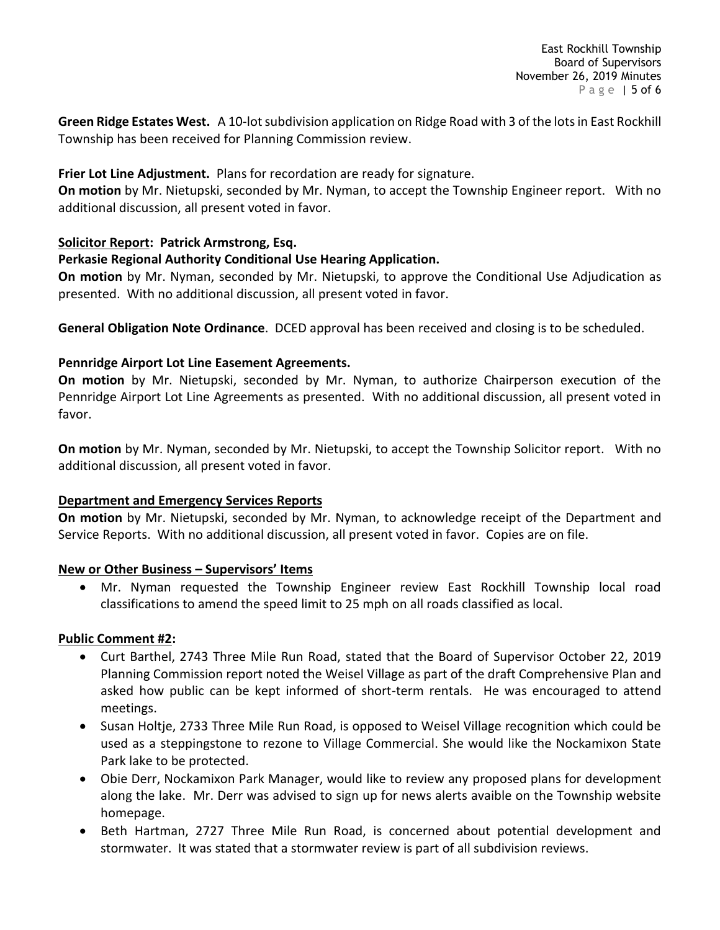Green Ridge Estates West. A 10-lot subdivision application on Ridge Road with 3 of the lots in East Rockhill Township has been received for Planning Commission review.

## **Frier Lot Line Adjustment.** Plans for recordation are ready for signature.

**On motion** by Mr. Nietupski, seconded by Mr. Nyman, to accept the Township Engineer report. With no additional discussion, all present voted in favor.

## **Solicitor Report: Patrick Armstrong, Esq.**

## **Perkasie Regional Authority Conditional Use Hearing Application.**

**On motion** by Mr. Nyman, seconded by Mr. Nietupski, to approve the Conditional Use Adjudication as presented. With no additional discussion, all present voted in favor.

**General Obligation Note Ordinance**. DCED approval has been received and closing is to be scheduled.

## **Pennridge Airport Lot Line Easement Agreements.**

**On motion** by Mr. Nietupski, seconded by Mr. Nyman, to authorize Chairperson execution of the Pennridge Airport Lot Line Agreements as presented. With no additional discussion, all present voted in favor.

**On motion** by Mr. Nyman, seconded by Mr. Nietupski, to accept the Township Solicitor report. With no additional discussion, all present voted in favor.

## **Department and Emergency Services Reports**

**On motion** by Mr. Nietupski, seconded by Mr. Nyman, to acknowledge receipt of the Department and Service Reports. With no additional discussion, all present voted in favor. Copies are on file.

## **New or Other Business – Supervisors' Items**

• Mr. Nyman requested the Township Engineer review East Rockhill Township local road classifications to amend the speed limit to 25 mph on all roads classified as local.

## **Public Comment #2:**

- Curt Barthel, 2743 Three Mile Run Road, stated that the Board of Supervisor October 22, 2019 Planning Commission report noted the Weisel Village as part of the draft Comprehensive Plan and asked how public can be kept informed of short-term rentals. He was encouraged to attend meetings.
- Susan Holtje, 2733 Three Mile Run Road, is opposed to Weisel Village recognition which could be used as a steppingstone to rezone to Village Commercial. She would like the Nockamixon State Park lake to be protected.
- Obie Derr, Nockamixon Park Manager, would like to review any proposed plans for development along the lake. Mr. Derr was advised to sign up for news alerts avaible on the Township website homepage.
- Beth Hartman, 2727 Three Mile Run Road, is concerned about potential development and stormwater. It was stated that a stormwater review is part of all subdivision reviews.